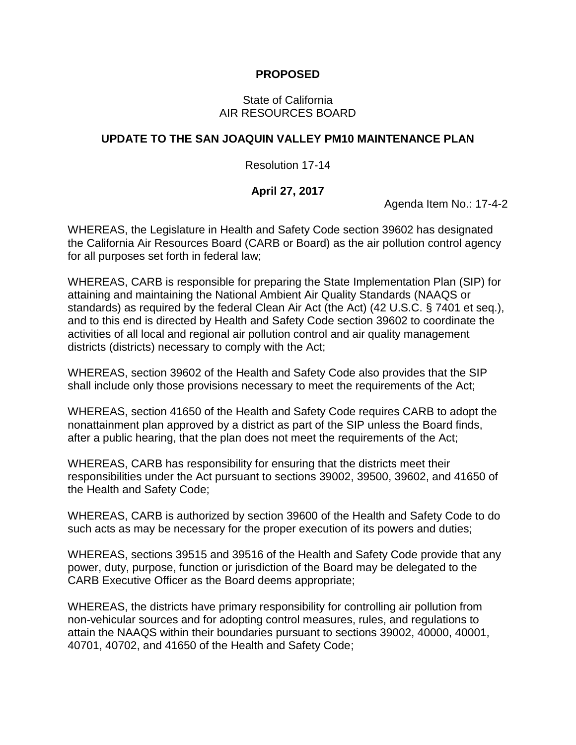## **PROPOSED**

#### State of California AIR RESOURCES BOARD

# **UPDATE TO THE SAN JOAQUIN VALLEY PM10 MAINTENANCE PLAN**

## Resolution 17-14

# **April 27, 2017**

Agenda Item No.: 17-4-2

WHEREAS, the Legislature in Health and Safety Code section 39602 has designated the California Air Resources Board (CARB or Board) as the air pollution control agency for all purposes set forth in federal law;

WHEREAS, CARB is responsible for preparing the State Implementation Plan (SIP) for attaining and maintaining the National Ambient Air Quality Standards (NAAQS or standards) as required by the federal Clean Air Act (the Act) (42 U.S.C. § 7401 et seq.), and to this end is directed by Health and Safety Code section 39602 to coordinate the activities of all local and regional air pollution control and air quality management districts (districts) necessary to comply with the Act;

WHEREAS, section 39602 of the Health and Safety Code also provides that the SIP shall include only those provisions necessary to meet the requirements of the Act;

WHEREAS, section 41650 of the Health and Safety Code requires CARB to adopt the nonattainment plan approved by a district as part of the SIP unless the Board finds, after a public hearing, that the plan does not meet the requirements of the Act;

WHEREAS, CARB has responsibility for ensuring that the districts meet their responsibilities under the Act pursuant to sections 39002, 39500, 39602, and 41650 of the Health and Safety Code;

WHEREAS, CARB is authorized by section 39600 of the Health and Safety Code to do such acts as may be necessary for the proper execution of its powers and duties;

WHEREAS, sections 39515 and 39516 of the Health and Safety Code provide that any power, duty, purpose, function or jurisdiction of the Board may be delegated to the CARB Executive Officer as the Board deems appropriate;

WHEREAS, the districts have primary responsibility for controlling air pollution from non-vehicular sources and for adopting control measures, rules, and regulations to attain the NAAQS within their boundaries pursuant to sections 39002, 40000, 40001, 40701, 40702, and 41650 of the Health and Safety Code;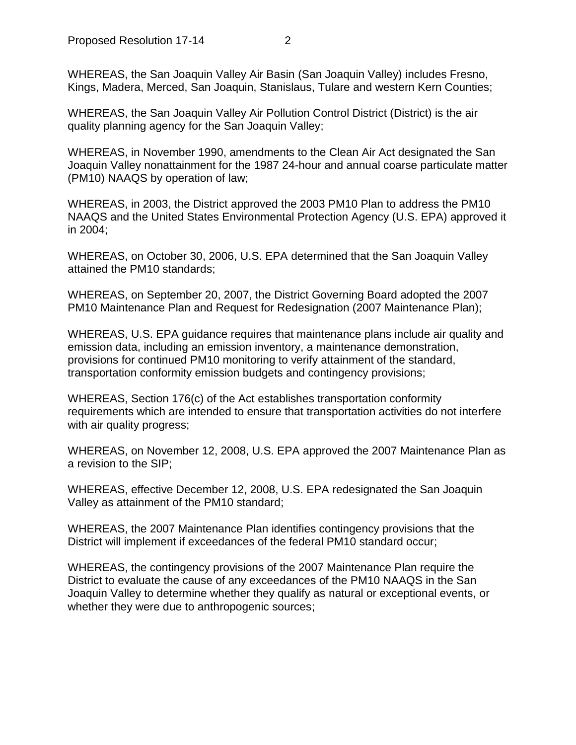WHEREAS, the San Joaquin Valley Air Basin (San Joaquin Valley) includes Fresno, Kings, Madera, Merced, San Joaquin, Stanislaus, Tulare and western Kern Counties;

WHEREAS, the San Joaquin Valley Air Pollution Control District (District) is the air quality planning agency for the San Joaquin Valley;

WHEREAS, in November 1990, amendments to the Clean Air Act designated the San Joaquin Valley nonattainment for the 1987 24-hour and annual coarse particulate matter (PM10) NAAQS by operation of law;

WHEREAS, in 2003, the District approved the 2003 PM10 Plan to address the PM10 NAAQS and the United States Environmental Protection Agency (U.S. EPA) approved it in 2004;

WHEREAS, on October 30, 2006, U.S. EPA determined that the San Joaquin Valley attained the PM10 standards;

WHEREAS, on September 20, 2007, the District Governing Board adopted the 2007 PM10 Maintenance Plan and Request for Redesignation (2007 Maintenance Plan);

WHEREAS, U.S. EPA guidance requires that maintenance plans include air quality and emission data, including an emission inventory, a maintenance demonstration, provisions for continued PM10 monitoring to verify attainment of the standard, transportation conformity emission budgets and contingency provisions;

WHEREAS, Section 176(c) of the Act establishes transportation conformity requirements which are intended to ensure that transportation activities do not interfere with air quality progress;

WHEREAS, on November 12, 2008, U.S. EPA approved the 2007 Maintenance Plan as a revision to the SIP;

WHEREAS, effective December 12, 2008, U.S. EPA redesignated the San Joaquin Valley as attainment of the PM10 standard;

WHEREAS, the 2007 Maintenance Plan identifies contingency provisions that the District will implement if exceedances of the federal PM10 standard occur;

WHEREAS, the contingency provisions of the 2007 Maintenance Plan require the District to evaluate the cause of any exceedances of the PM10 NAAQS in the San Joaquin Valley to determine whether they qualify as natural or exceptional events, or whether they were due to anthropogenic sources;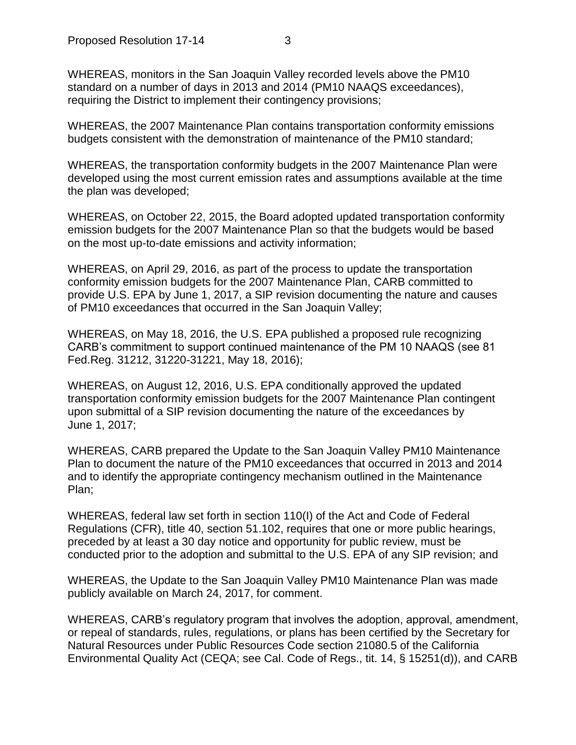WHEREAS, monitors in the San Joaquin Valley recorded levels above the PM10 standard on a number of days in 2013 and 2014 (PM10 NAAQS exceedances), requiring the District to implement their contingency provisions;

WHEREAS, the 2007 Maintenance Plan contains transportation conformity emissions budgets consistent with the demonstration of maintenance of the PM10 standard;

WHEREAS, the transportation conformity budgets in the 2007 Maintenance Plan were developed using the most current emission rates and assumptions available at the time the plan was developed;

WHEREAS, on October 22, 2015, the Board adopted updated transportation conformity emission budgets for the 2007 Maintenance Plan so that the budgets would be based on the most up-to-date emissions and activity information;

WHEREAS, on April 29, 2016, as part of the process to update the transportation conformity emission budgets for the 2007 Maintenance Plan, CARB committed to provide U.S. EPA by June 1, 2017, a SIP revision documenting the nature and causes of PM10 exceedances that occurred in the San Joaquin Valley;

WHEREAS, on May 18, 2016, the U.S. EPA published a proposed rule recognizing CARB's commitment to support continued maintenance of the PM 10 NAAQS (see 81 Fed.Reg. 31212, 31220-31221, May 18, 2016);

WHEREAS, on August 12, 2016, U.S. EPA conditionally approved the updated transportation conformity emission budgets for the 2007 Maintenance Plan contingent upon submittal of a SIP revision documenting the nature of the exceedances by June 1, 2017;

WHEREAS, CARB prepared the Update to the San Joaquin Valley PM10 Maintenance Plan to document the nature of the PM10 exceedances that occurred in 2013 and 2014 and to identify the appropriate contingency mechanism outlined in the Maintenance Plan;

WHEREAS, federal law set forth in section 110(I) of the Act and Code of Federal Regulations (CFR), title 40, section 51.102, requires that one or more public hearings, preceded by at least a 30 day notice and opportunity for public review, must be conducted prior to the adoption and submittal to the U.S. EPA of any SIP revision; and

WHEREAS, the Update to the San Joaquin Valley PM10 Maintenance Plan was made publicly available on March 24, 2017, for comment.

WHEREAS, CARB's regulatory program that involves the adoption, approval, amendment, or repeal of standards, rules, regulations, or plans has been certified by the Secretary for Natural Resources under Public Resources Code section 21080.5 of the California Environmental Quality Act (CEQA; see Cal. Code of Regs., tit. 14, § 15251(d)), and CARB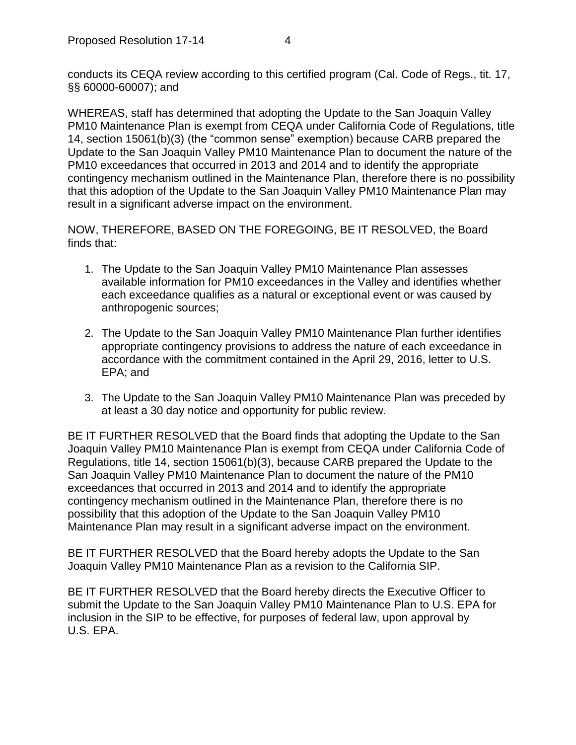WHEREAS, staff has determined that adopting the Update to the San Joaquin Valley PM10 Maintenance Plan is exempt from CEQA under California Code of Regulations, title 14, section 15061(b)(3) (the "common sense" exemption) because CARB prepared the Update to the San Joaquin Valley PM10 Maintenance Plan to document the nature of the PM10 exceedances that occurred in 2013 and 2014 and to identify the appropriate contingency mechanism outlined in the Maintenance Plan, therefore there is no possibility that this adoption of the Update to the San Joaquin Valley PM10 Maintenance Plan may result in a significant adverse impact on the environment.

NOW, THEREFORE, BASED ON THE FOREGOING, BE IT RESOLVED, the Board finds that:

- 1. The Update to the San Joaquin Valley PM10 Maintenance Plan assesses available information for PM10 exceedances in the Valley and identifies whether each exceedance qualifies as a natural or exceptional event or was caused by anthropogenic sources;
- 2. The Update to the San Joaquin Valley PM10 Maintenance Plan further identifies appropriate contingency provisions to address the nature of each exceedance in accordance with the commitment contained in the April 29, 2016, letter to U.S. EPA; and
- 3. The Update to the San Joaquin Valley PM10 Maintenance Plan was preceded by at least a 30 day notice and opportunity for public review.

BE IT FURTHER RESOLVED that the Board finds that adopting the Update to the San Joaquin Valley PM10 Maintenance Plan is exempt from CEQA under California Code of Regulations, title 14, section 15061(b)(3), because CARB prepared the Update to the San Joaquin Valley PM10 Maintenance Plan to document the nature of the PM10 exceedances that occurred in 2013 and 2014 and to identify the appropriate contingency mechanism outlined in the Maintenance Plan, therefore there is no possibility that this adoption of the Update to the San Joaquin Valley PM10 Maintenance Plan may result in a significant adverse impact on the environment.

BE IT FURTHER RESOLVED that the Board hereby adopts the Update to the San Joaquin Valley PM10 Maintenance Plan as a revision to the California SIP.

BE IT FURTHER RESOLVED that the Board hereby directs the Executive Officer to submit the Update to the San Joaquin Valley PM10 Maintenance Plan to U.S. EPA for inclusion in the SIP to be effective, for purposes of federal law, upon approval by U.S. EPA.